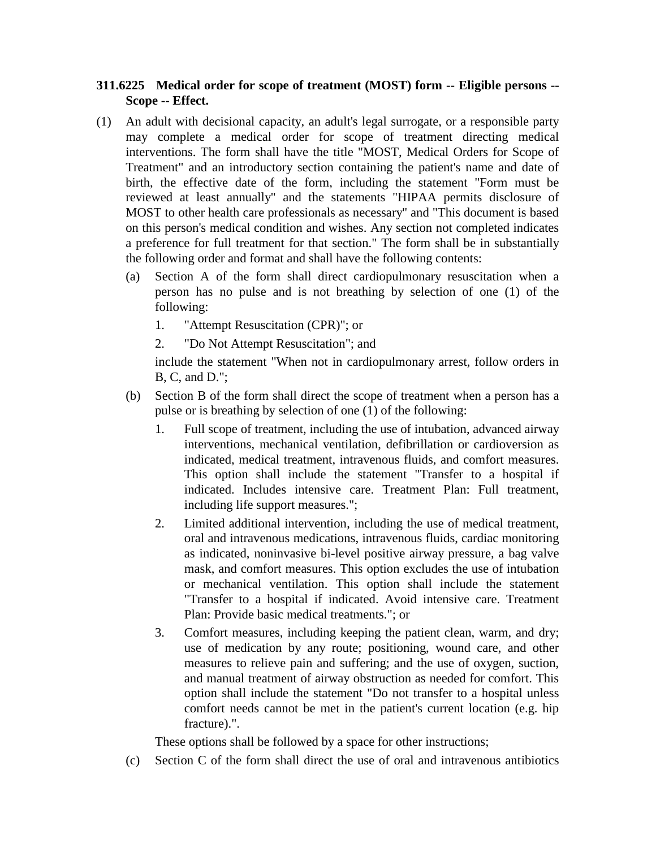## **311.6225 Medical order for scope of treatment (MOST) form -- Eligible persons -- Scope -- Effect.**

- (1) An adult with decisional capacity, an adult's legal surrogate, or a responsible party may complete a medical order for scope of treatment directing medical interventions. The form shall have the title "MOST, Medical Orders for Scope of Treatment" and an introductory section containing the patient's name and date of birth, the effective date of the form, including the statement "Form must be reviewed at least annually" and the statements "HIPAA permits disclosure of MOST to other health care professionals as necessary" and "This document is based on this person's medical condition and wishes. Any section not completed indicates a preference for full treatment for that section." The form shall be in substantially the following order and format and shall have the following contents:
	- (a) Section A of the form shall direct cardiopulmonary resuscitation when a person has no pulse and is not breathing by selection of one (1) of the following:
		- 1. "Attempt Resuscitation (CPR)"; or
		- 2. "Do Not Attempt Resuscitation"; and

include the statement "When not in cardiopulmonary arrest, follow orders in B, C, and D.";

- (b) Section B of the form shall direct the scope of treatment when a person has a pulse or is breathing by selection of one (1) of the following:
	- 1. Full scope of treatment, including the use of intubation, advanced airway interventions, mechanical ventilation, defibrillation or cardioversion as indicated, medical treatment, intravenous fluids, and comfort measures. This option shall include the statement "Transfer to a hospital if indicated. Includes intensive care. Treatment Plan: Full treatment, including life support measures.";
	- 2. Limited additional intervention, including the use of medical treatment, oral and intravenous medications, intravenous fluids, cardiac monitoring as indicated, noninvasive bi-level positive airway pressure, a bag valve mask, and comfort measures. This option excludes the use of intubation or mechanical ventilation. This option shall include the statement "Transfer to a hospital if indicated. Avoid intensive care. Treatment Plan: Provide basic medical treatments."; or
	- 3. Comfort measures, including keeping the patient clean, warm, and dry; use of medication by any route; positioning, wound care, and other measures to relieve pain and suffering; and the use of oxygen, suction, and manual treatment of airway obstruction as needed for comfort. This option shall include the statement "Do not transfer to a hospital unless comfort needs cannot be met in the patient's current location (e.g. hip fracture).".

These options shall be followed by a space for other instructions;

(c) Section C of the form shall direct the use of oral and intravenous antibiotics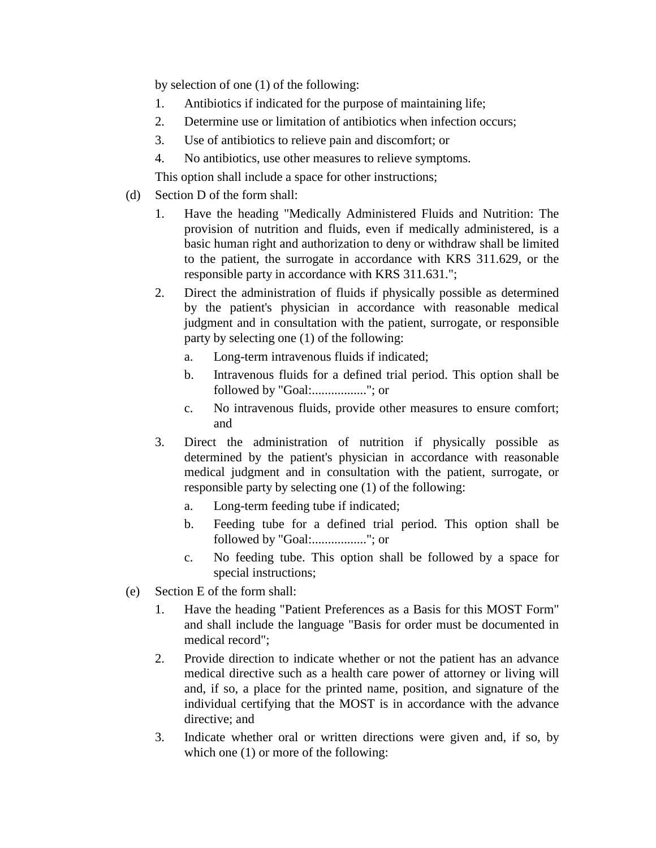by selection of one (1) of the following:

- 1. Antibiotics if indicated for the purpose of maintaining life;
- 2. Determine use or limitation of antibiotics when infection occurs;
- 3. Use of antibiotics to relieve pain and discomfort; or
- 4. No antibiotics, use other measures to relieve symptoms.

This option shall include a space for other instructions;

- (d) Section D of the form shall:
	- 1. Have the heading "Medically Administered Fluids and Nutrition: The provision of nutrition and fluids, even if medically administered, is a basic human right and authorization to deny or withdraw shall be limited to the patient, the surrogate in accordance with KRS 311.629, or the responsible party in accordance with KRS 311.631.";
	- 2. Direct the administration of fluids if physically possible as determined by the patient's physician in accordance with reasonable medical judgment and in consultation with the patient, surrogate, or responsible party by selecting one (1) of the following:
		- a. Long-term intravenous fluids if indicated;
		- b. Intravenous fluids for a defined trial period. This option shall be followed by "Goal:................."; or
		- c. No intravenous fluids, provide other measures to ensure comfort; and
	- 3. Direct the administration of nutrition if physically possible as determined by the patient's physician in accordance with reasonable medical judgment and in consultation with the patient, surrogate, or responsible party by selecting one (1) of the following:
		- a. Long-term feeding tube if indicated;
		- b. Feeding tube for a defined trial period. This option shall be followed by "Goal:................."; or
		- c. No feeding tube. This option shall be followed by a space for special instructions;
- (e) Section E of the form shall:
	- 1. Have the heading "Patient Preferences as a Basis for this MOST Form" and shall include the language "Basis for order must be documented in medical record";
	- 2. Provide direction to indicate whether or not the patient has an advance medical directive such as a health care power of attorney or living will and, if so, a place for the printed name, position, and signature of the individual certifying that the MOST is in accordance with the advance directive; and
	- 3. Indicate whether oral or written directions were given and, if so, by which one  $(1)$  or more of the following: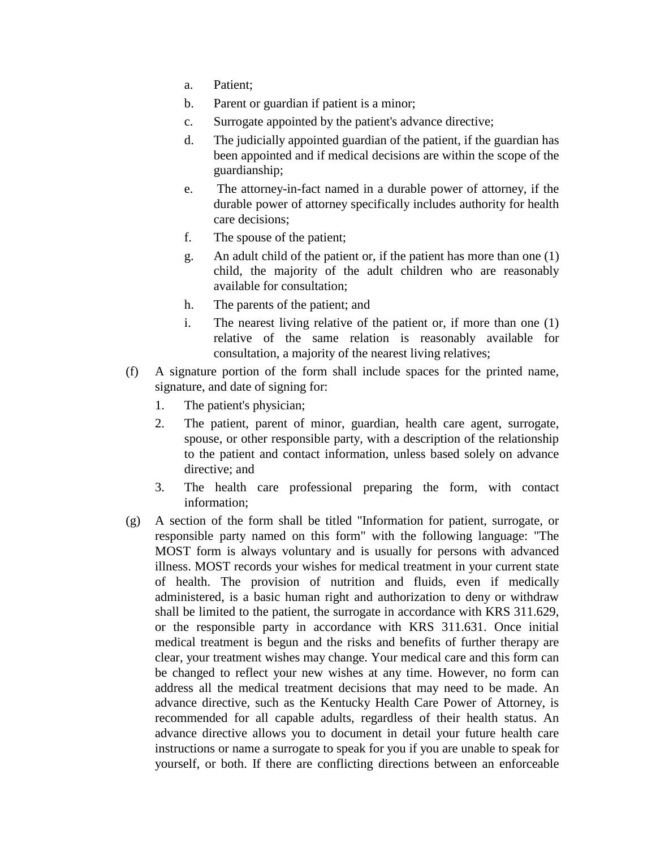- a. Patient;
- b. Parent or guardian if patient is a minor;
- c. Surrogate appointed by the patient's advance directive;
- d. The judicially appointed guardian of the patient, if the guardian has been appointed and if medical decisions are within the scope of the guardianship;
- e. The attorney-in-fact named in a durable power of attorney, if the durable power of attorney specifically includes authority for health care decisions;
- f. The spouse of the patient;
- g. An adult child of the patient or, if the patient has more than one (1) child, the majority of the adult children who are reasonably available for consultation;
- h. The parents of the patient; and
- i. The nearest living relative of the patient or, if more than one (1) relative of the same relation is reasonably available for consultation, a majority of the nearest living relatives;
- (f) A signature portion of the form shall include spaces for the printed name, signature, and date of signing for:
	- 1. The patient's physician;
	- 2. The patient, parent of minor, guardian, health care agent, surrogate, spouse, or other responsible party, with a description of the relationship to the patient and contact information, unless based solely on advance directive; and
	- 3. The health care professional preparing the form, with contact information;
- (g) A section of the form shall be titled "Information for patient, surrogate, or responsible party named on this form" with the following language: "The MOST form is always voluntary and is usually for persons with advanced illness. MOST records your wishes for medical treatment in your current state of health. The provision of nutrition and fluids, even if medically administered, is a basic human right and authorization to deny or withdraw shall be limited to the patient, the surrogate in accordance with KRS 311.629, or the responsible party in accordance with KRS 311.631. Once initial medical treatment is begun and the risks and benefits of further therapy are clear, your treatment wishes may change. Your medical care and this form can be changed to reflect your new wishes at any time. However, no form can address all the medical treatment decisions that may need to be made. An advance directive, such as the Kentucky Health Care Power of Attorney, is recommended for all capable adults, regardless of their health status. An advance directive allows you to document in detail your future health care instructions or name a surrogate to speak for you if you are unable to speak for yourself, or both. If there are conflicting directions between an enforceable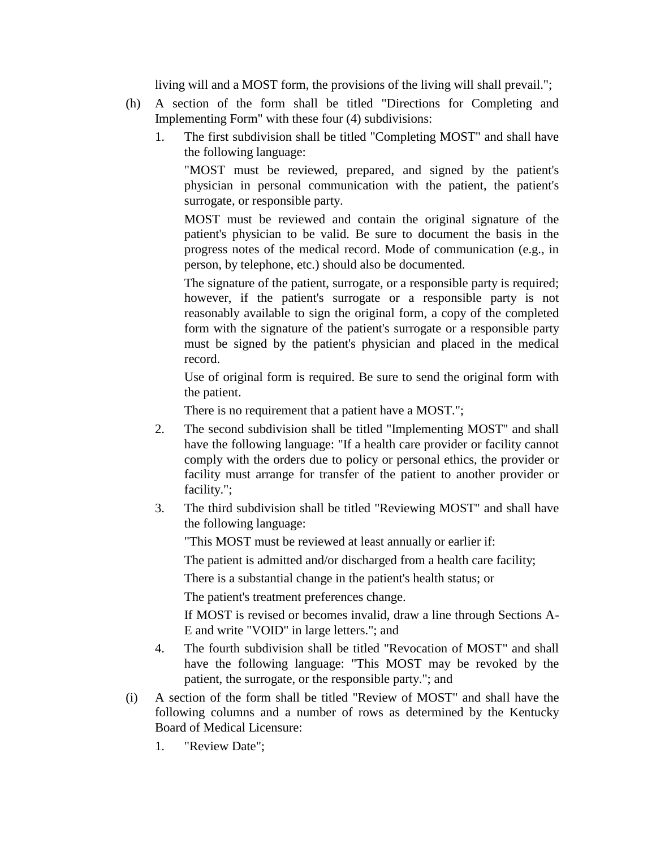living will and a MOST form, the provisions of the living will shall prevail.";

- (h) A section of the form shall be titled "Directions for Completing and Implementing Form" with these four (4) subdivisions:
	- 1. The first subdivision shall be titled "Completing MOST" and shall have the following language:

"MOST must be reviewed, prepared, and signed by the patient's physician in personal communication with the patient, the patient's surrogate, or responsible party.

MOST must be reviewed and contain the original signature of the patient's physician to be valid. Be sure to document the basis in the progress notes of the medical record. Mode of communication (e.g., in person, by telephone, etc.) should also be documented.

The signature of the patient, surrogate, or a responsible party is required; however, if the patient's surrogate or a responsible party is not reasonably available to sign the original form, a copy of the completed form with the signature of the patient's surrogate or a responsible party must be signed by the patient's physician and placed in the medical record.

Use of original form is required. Be sure to send the original form with the patient.

There is no requirement that a patient have a MOST.";

- 2. The second subdivision shall be titled "Implementing MOST" and shall have the following language: "If a health care provider or facility cannot comply with the orders due to policy or personal ethics, the provider or facility must arrange for transfer of the patient to another provider or facility.";
- 3. The third subdivision shall be titled "Reviewing MOST" and shall have the following language:

"This MOST must be reviewed at least annually or earlier if:

The patient is admitted and/or discharged from a health care facility;

There is a substantial change in the patient's health status; or

The patient's treatment preferences change.

If MOST is revised or becomes invalid, draw a line through Sections A-E and write "VOID" in large letters."; and

- 4. The fourth subdivision shall be titled "Revocation of MOST" and shall have the following language: "This MOST may be revoked by the patient, the surrogate, or the responsible party."; and
- (i) A section of the form shall be titled "Review of MOST" and shall have the following columns and a number of rows as determined by the Kentucky Board of Medical Licensure:
	- 1. "Review Date";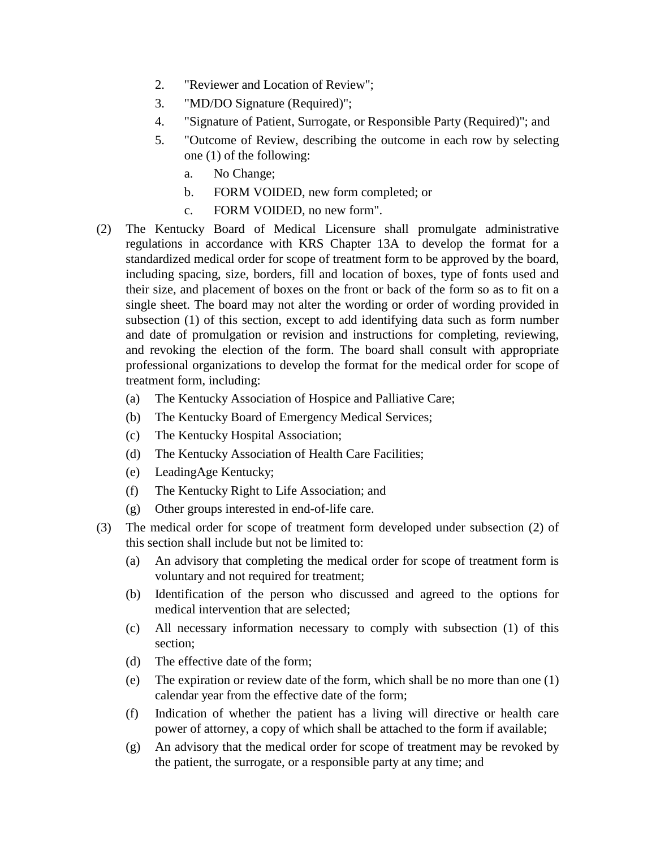- 2. "Reviewer and Location of Review";
- 3. "MD/DO Signature (Required)";
- 4. "Signature of Patient, Surrogate, or Responsible Party (Required)"; and
- 5. "Outcome of Review, describing the outcome in each row by selecting one (1) of the following:
	- a. No Change;
	- b. FORM VOIDED, new form completed; or
	- c. FORM VOIDED, no new form".
- (2) The Kentucky Board of Medical Licensure shall promulgate administrative regulations in accordance with KRS Chapter 13A to develop the format for a standardized medical order for scope of treatment form to be approved by the board, including spacing, size, borders, fill and location of boxes, type of fonts used and their size, and placement of boxes on the front or back of the form so as to fit on a single sheet. The board may not alter the wording or order of wording provided in subsection (1) of this section, except to add identifying data such as form number and date of promulgation or revision and instructions for completing, reviewing, and revoking the election of the form. The board shall consult with appropriate professional organizations to develop the format for the medical order for scope of treatment form, including:
	- (a) The Kentucky Association of Hospice and Palliative Care;
	- (b) The Kentucky Board of Emergency Medical Services;
	- (c) The Kentucky Hospital Association;
	- (d) The Kentucky Association of Health Care Facilities;
	- (e) LeadingAge Kentucky;
	- (f) The Kentucky Right to Life Association; and
	- (g) Other groups interested in end-of-life care.
- (3) The medical order for scope of treatment form developed under subsection (2) of this section shall include but not be limited to:
	- (a) An advisory that completing the medical order for scope of treatment form is voluntary and not required for treatment;
	- (b) Identification of the person who discussed and agreed to the options for medical intervention that are selected;
	- (c) All necessary information necessary to comply with subsection (1) of this section;
	- (d) The effective date of the form;
	- (e) The expiration or review date of the form, which shall be no more than one (1) calendar year from the effective date of the form;
	- (f) Indication of whether the patient has a living will directive or health care power of attorney, a copy of which shall be attached to the form if available;
	- (g) An advisory that the medical order for scope of treatment may be revoked by the patient, the surrogate, or a responsible party at any time; and